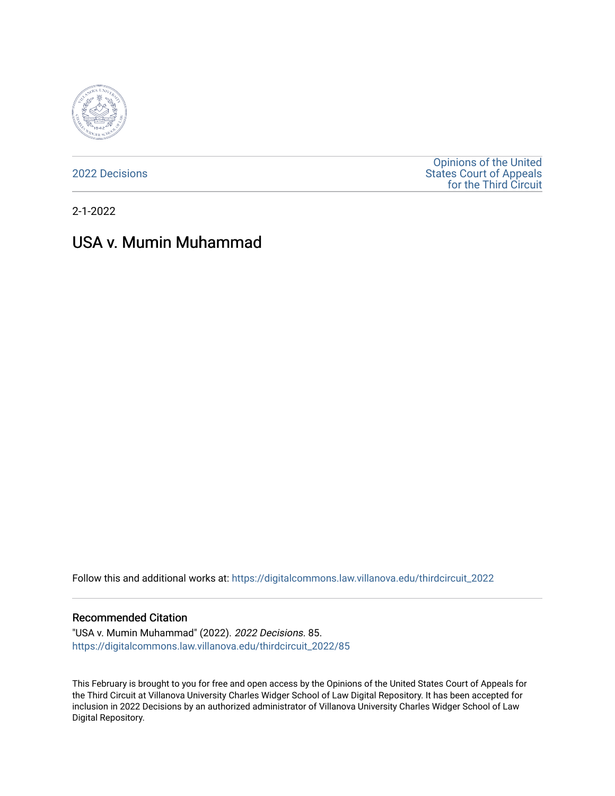

[2022 Decisions](https://digitalcommons.law.villanova.edu/thirdcircuit_2022)

[Opinions of the United](https://digitalcommons.law.villanova.edu/thirdcircuit)  [States Court of Appeals](https://digitalcommons.law.villanova.edu/thirdcircuit)  [for the Third Circuit](https://digitalcommons.law.villanova.edu/thirdcircuit) 

2-1-2022

# USA v. Mumin Muhammad

Follow this and additional works at: [https://digitalcommons.law.villanova.edu/thirdcircuit\\_2022](https://digitalcommons.law.villanova.edu/thirdcircuit_2022?utm_source=digitalcommons.law.villanova.edu%2Fthirdcircuit_2022%2F85&utm_medium=PDF&utm_campaign=PDFCoverPages) 

### Recommended Citation

"USA v. Mumin Muhammad" (2022). 2022 Decisions. 85. [https://digitalcommons.law.villanova.edu/thirdcircuit\\_2022/85](https://digitalcommons.law.villanova.edu/thirdcircuit_2022/85?utm_source=digitalcommons.law.villanova.edu%2Fthirdcircuit_2022%2F85&utm_medium=PDF&utm_campaign=PDFCoverPages)

This February is brought to you for free and open access by the Opinions of the United States Court of Appeals for the Third Circuit at Villanova University Charles Widger School of Law Digital Repository. It has been accepted for inclusion in 2022 Decisions by an authorized administrator of Villanova University Charles Widger School of Law Digital Repository.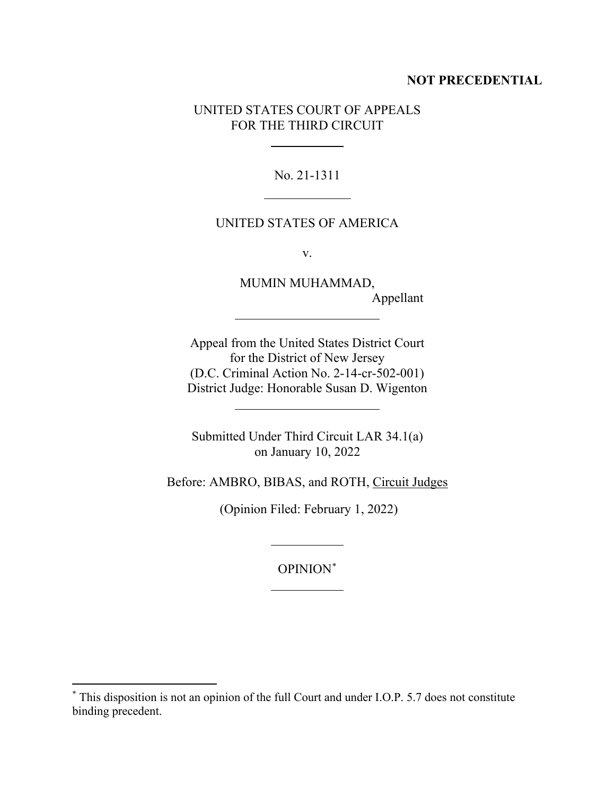## **NOT PRECEDENTIAL**

# UNITED STATES COURT OF APPEALS FOR THE THIRD CIRCUIT

No. 21-1311

# UNITED STATES OF AMERICA

v.

MUMIN MUHAMMAD, Appellant

Appeal from the United States District Court for the District of New Jersey (D.C. Criminal Action No. 2-14-cr-502-001) District Judge: Honorable Susan D. Wigenton

Submitted Under Third Circuit LAR 34.1(a) on January 10, 2022

Before: AMBRO, BIBAS, and ROTH, Circuit Judges

(Opinion Filed: February 1, 2022)

OPINION\*

<sup>\*</sup> This disposition is not an opinion of the full Court and under I.O.P. 5.7 does not constitute binding precedent.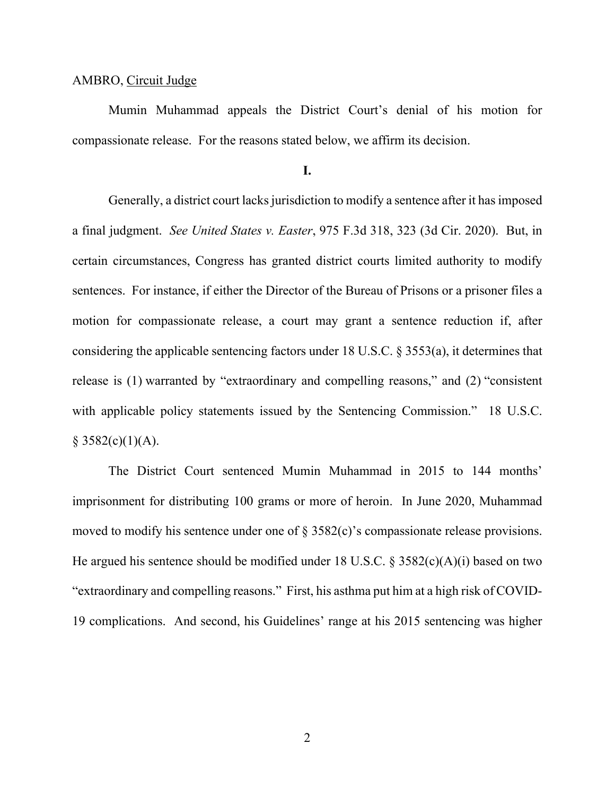### AMBRO, Circuit Judge

Mumin Muhammad appeals the District Court's denial of his motion for compassionate release. For the reasons stated below, we affirm its decision.

#### **I.**

Generally, a district court lacks jurisdiction to modify a sentence after it has imposed a final judgment. *See United States v. Easter*, 975 F.3d 318, 323 (3d Cir. 2020). But, in certain circumstances, Congress has granted district courts limited authority to modify sentences. For instance, if either the Director of the Bureau of Prisons or a prisoner files a motion for compassionate release, a court may grant a sentence reduction if, after considering the applicable sentencing factors under 18 U.S.C. § 3553(a), it determines that release is (1) warranted by "extraordinary and compelling reasons," and (2) "consistent with applicable policy statements issued by the Sentencing Commission." 18 U.S.C.  $§ 3582(c)(1)(A).$ 

The District Court sentenced Mumin Muhammad in 2015 to 144 months' imprisonment for distributing 100 grams or more of heroin. In June 2020, Muhammad moved to modify his sentence under one of  $\S 3582(c)$ 's compassionate release provisions. He argued his sentence should be modified under 18 U.S.C. § 3582(c)(A)(i) based on two "extraordinary and compelling reasons." First, his asthma put him at a high risk of COVID-19 complications. And second, his Guidelines' range at his 2015 sentencing was higher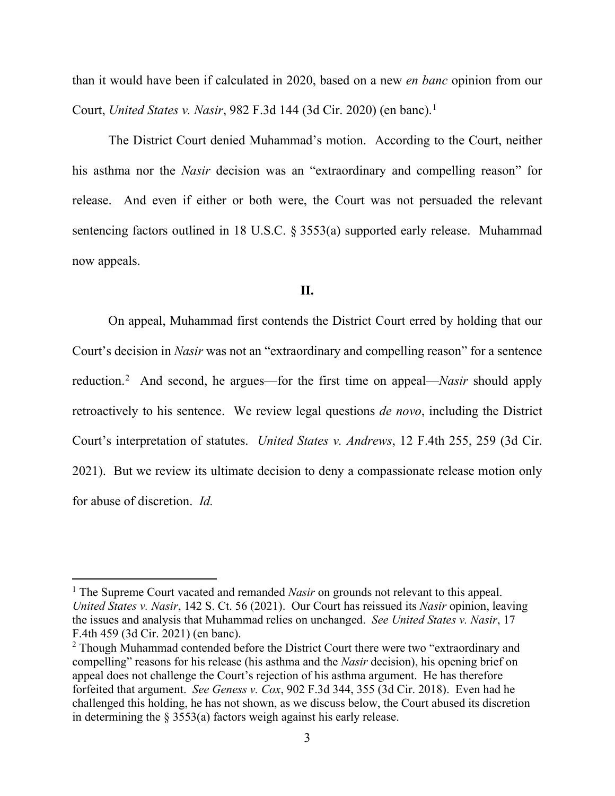than it would have been if calculated in 2020, based on a new *en banc* opinion from our Court, *United States v. Nasir*, 982 F.3d 144 (3d Cir. 2020) (en banc). 1

The District Court denied Muhammad's motion. According to the Court, neither his asthma nor the *Nasir* decision was an "extraordinary and compelling reason" for release. And even if either or both were, the Court was not persuaded the relevant sentencing factors outlined in 18 U.S.C. § 3553(a) supported early release. Muhammad now appeals.

### **II.**

On appeal, Muhammad first contends the District Court erred by holding that our Court's decision in *Nasir* was not an "extraordinary and compelling reason" for a sentence reduction.2 And second, he argues—for the first time on appeal—*Nasir* should apply retroactively to his sentence. We review legal questions *de novo*, including the District Court's interpretation of statutes. *United States v. Andrews*, 12 F.4th 255, 259 (3d Cir. 2021). But we review its ultimate decision to deny a compassionate release motion only for abuse of discretion. *Id.*

<sup>1</sup> The Supreme Court vacated and remanded *Nasir* on grounds not relevant to this appeal. *United States v. Nasir*, 142 S. Ct. 56 (2021). Our Court has reissued its *Nasir* opinion, leaving the issues and analysis that Muhammad relies on unchanged. *See United States v. Nasir*, 17 F.4th 459 (3d Cir. 2021) (en banc).

<sup>&</sup>lt;sup>2</sup> Though Muhammad contended before the District Court there were two "extraordinary and compelling" reasons for his release (his asthma and the *Nasir* decision), his opening brief on appeal does not challenge the Court's rejection of his asthma argument. He has therefore forfeited that argument. *See Geness v. Cox*, 902 F.3d 344, 355 (3d Cir. 2018). Even had he challenged this holding, he has not shown, as we discuss below, the Court abused its discretion in determining the § 3553(a) factors weigh against his early release.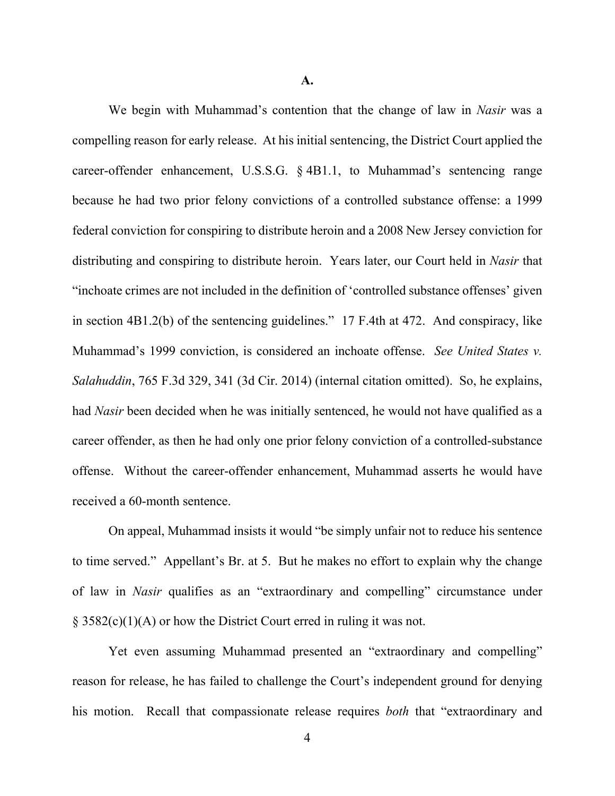**A.**

We begin with Muhammad's contention that the change of law in *Nasir* was a compelling reason for early release. At his initial sentencing, the District Court applied the career-offender enhancement, U.S.S.G. § 4B1.1, to Muhammad's sentencing range because he had two prior felony convictions of a controlled substance offense: a 1999 federal conviction for conspiring to distribute heroin and a 2008 New Jersey conviction for distributing and conspiring to distribute heroin. Years later, our Court held in *Nasir* that "inchoate crimes are not included in the definition of 'controlled substance offenses' given in section 4B1.2(b) of the sentencing guidelines." 17 F.4th at 472. And conspiracy, like Muhammad's 1999 conviction, is considered an inchoate offense. *See United States v. Salahuddin*, 765 F.3d 329, 341 (3d Cir. 2014) (internal citation omitted). So, he explains, had *Nasir* been decided when he was initially sentenced, he would not have qualified as a career offender, as then he had only one prior felony conviction of a controlled-substance offense. Without the career-offender enhancement, Muhammad asserts he would have received a 60-month sentence.

On appeal, Muhammad insists it would "be simply unfair not to reduce his sentence to time served." Appellant's Br. at 5. But he makes no effort to explain why the change of law in *Nasir* qualifies as an "extraordinary and compelling" circumstance under  $\S$  3582(c)(1)(A) or how the District Court erred in ruling it was not.

Yet even assuming Muhammad presented an "extraordinary and compelling" reason for release, he has failed to challenge the Court's independent ground for denying his motion. Recall that compassionate release requires *both* that "extraordinary and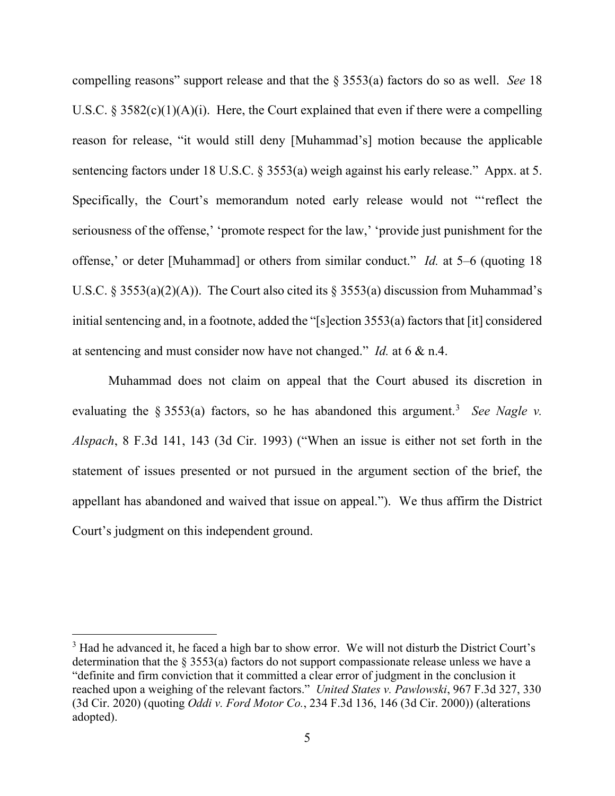compelling reasons" support release and that the § 3553(a) factors do so as well. *See* 18 U.S.C. § 3582(c)(1)(A)(i). Here, the Court explained that even if there were a compelling reason for release, "it would still deny [Muhammad's] motion because the applicable sentencing factors under 18 U.S.C. § 3553(a) weigh against his early release." Appx. at 5. Specifically, the Court's memorandum noted early release would not "'reflect the seriousness of the offense,' 'promote respect for the law,' 'provide just punishment for the offense,' or deter [Muhammad] or others from similar conduct." *Id.* at 5–6 (quoting 18 U.S.C. § 3553(a)(2)(A)). The Court also cited its § 3553(a) discussion from Muhammad's initial sentencing and, in a footnote, added the "[s]ection 3553(a) factors that [it] considered at sentencing and must consider now have not changed." *Id.* at 6 & n.4.

Muhammad does not claim on appeal that the Court abused its discretion in evaluating the  $\S 3553(a)$  factors, so he has abandoned this argument.<sup>3</sup> See Nagle v. *Alspach*, 8 F.3d 141, 143 (3d Cir. 1993) ("When an issue is either not set forth in the statement of issues presented or not pursued in the argument section of the brief, the appellant has abandoned and waived that issue on appeal."). We thus affirm the District Court's judgment on this independent ground.

<sup>&</sup>lt;sup>3</sup> Had he advanced it, he faced a high bar to show error. We will not disturb the District Court's determination that the  $\S 3553(a)$  factors do not support compassionate release unless we have a "definite and firm conviction that it committed a clear error of judgment in the conclusion it reached upon a weighing of the relevant factors." *United States v. Pawlowski*, 967 F.3d 327, 330 (3d Cir. 2020) (quoting *Oddi v. Ford Motor Co.*, 234 F.3d 136, 146 (3d Cir. 2000)) (alterations adopted).